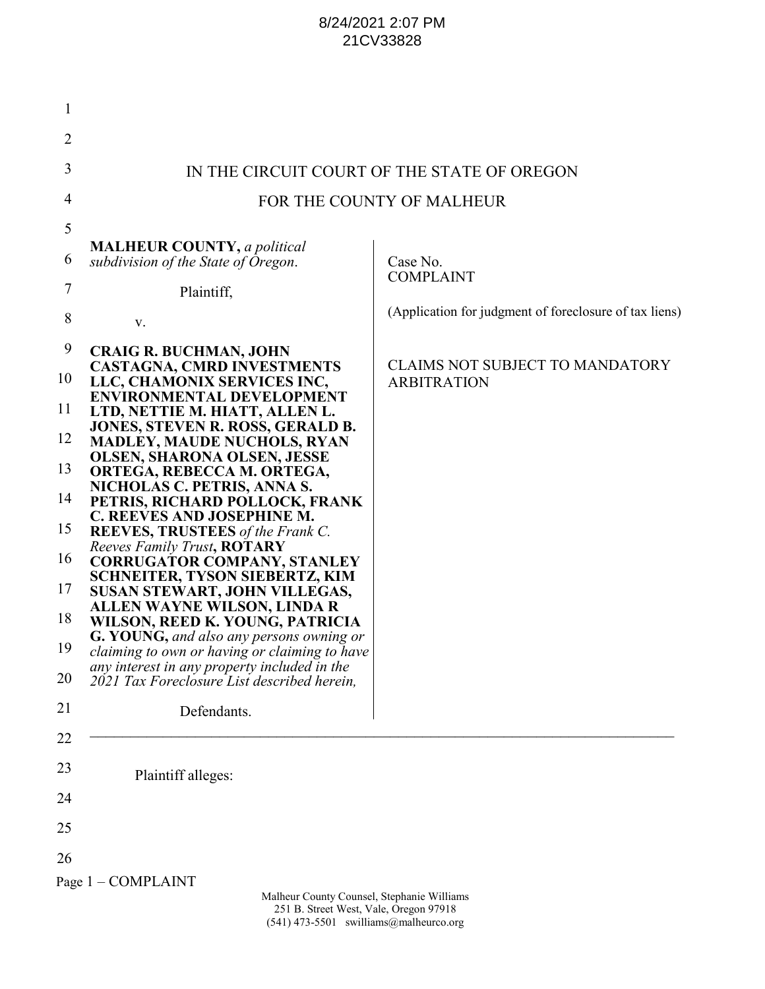## 8/24/2021 2:07 PM 21CV33828

| $\mathbf{1}$                                            |                                                                                                                                                                                                                                                                                                                                                                                                                                                                                                                                                                                                                                                                                                                                            |                                                              |
|---------------------------------------------------------|--------------------------------------------------------------------------------------------------------------------------------------------------------------------------------------------------------------------------------------------------------------------------------------------------------------------------------------------------------------------------------------------------------------------------------------------------------------------------------------------------------------------------------------------------------------------------------------------------------------------------------------------------------------------------------------------------------------------------------------------|--------------------------------------------------------------|
| $\overline{2}$                                          |                                                                                                                                                                                                                                                                                                                                                                                                                                                                                                                                                                                                                                                                                                                                            |                                                              |
| 3                                                       |                                                                                                                                                                                                                                                                                                                                                                                                                                                                                                                                                                                                                                                                                                                                            | IN THE CIRCUIT COURT OF THE STATE OF OREGON                  |
| $\overline{4}$                                          |                                                                                                                                                                                                                                                                                                                                                                                                                                                                                                                                                                                                                                                                                                                                            | FOR THE COUNTY OF MALHEUR                                    |
| 5                                                       |                                                                                                                                                                                                                                                                                                                                                                                                                                                                                                                                                                                                                                                                                                                                            |                                                              |
| 6                                                       | <b>MALHEUR COUNTY</b> , a political<br>subdivision of the State of Oregon.                                                                                                                                                                                                                                                                                                                                                                                                                                                                                                                                                                                                                                                                 | Case No.<br><b>COMPLAINT</b>                                 |
| 7                                                       | Plaintiff,                                                                                                                                                                                                                                                                                                                                                                                                                                                                                                                                                                                                                                                                                                                                 |                                                              |
| 8                                                       | V.                                                                                                                                                                                                                                                                                                                                                                                                                                                                                                                                                                                                                                                                                                                                         | (Application for judgment of foreclosure of tax liens)       |
| 9<br>10<br>11<br>12<br>13<br>14<br>15<br>16<br>17<br>18 | <b>CRAIG R. BUCHMAN, JOHN</b><br><b>CASTAGNA, CMRD INVESTMENTS</b><br>LLC, CHAMONIX SERVICES INC,<br><b>ENVIRONMENTAL DEVELOPMENT</b><br>LTD, NETTIE M. HIATT, ALLEN L.<br>JONES, STEVEN R. ROSS, GERALD B.<br><b>MADLEY, MAUDE NUCHOLS, RYAN</b><br><b>OLSEN, SHARONA OLSEN, JESSE</b><br>ORTEGA, REBECCA M. ORTEGA,<br>NICHOLAS C. PETRIS, ANNA S.<br>PETRIS, RICHARD POLLOCK, FRANK<br>C. REEVES AND JOSEPHINE M.<br>REEVES, TRUSTEES of the Frank C.<br>Reeves Family Trust, ROTARY<br><b>CORRUGATOR COMPANY, STANLEY</b><br><b>SCHNEITER, TYSON SIEBERTZ, KIM</b><br><b>SUSAN STEWART, JOHN VILLEGAS,</b><br><b>ALLEN WAYNE WILSON, LINDA R</b><br>WILSON, REED K. YOUNG, PATRICIA<br><b>G. YOUNG, and also any persons owning or</b> | <b>CLAIMS NOT SUBJECT TO MANDATORY</b><br><b>ARBITRATION</b> |
| 19                                                      | claiming to own or having or claiming to have<br>any interest in any property included in the                                                                                                                                                                                                                                                                                                                                                                                                                                                                                                                                                                                                                                              |                                                              |
| 20<br>21                                                | 2021 Tax Foreclosure List described herein,                                                                                                                                                                                                                                                                                                                                                                                                                                                                                                                                                                                                                                                                                                |                                                              |
| 22                                                      | Defendants.                                                                                                                                                                                                                                                                                                                                                                                                                                                                                                                                                                                                                                                                                                                                |                                                              |
| 23                                                      |                                                                                                                                                                                                                                                                                                                                                                                                                                                                                                                                                                                                                                                                                                                                            |                                                              |
| 24                                                      | Plaintiff alleges:                                                                                                                                                                                                                                                                                                                                                                                                                                                                                                                                                                                                                                                                                                                         |                                                              |
| 25                                                      |                                                                                                                                                                                                                                                                                                                                                                                                                                                                                                                                                                                                                                                                                                                                            |                                                              |
| 26                                                      |                                                                                                                                                                                                                                                                                                                                                                                                                                                                                                                                                                                                                                                                                                                                            |                                                              |
|                                                         | Page 1 - COMPLAINT                                                                                                                                                                                                                                                                                                                                                                                                                                                                                                                                                                                                                                                                                                                         |                                                              |
|                                                         | Malheur County Counsel, Stephanie Williams<br>251 B. Street West, Vale, Oregon 97918                                                                                                                                                                                                                                                                                                                                                                                                                                                                                                                                                                                                                                                       |                                                              |

251 B. Street West, Vale, Oregon 97918 (541) 473-5501 swilliams@malheurco.org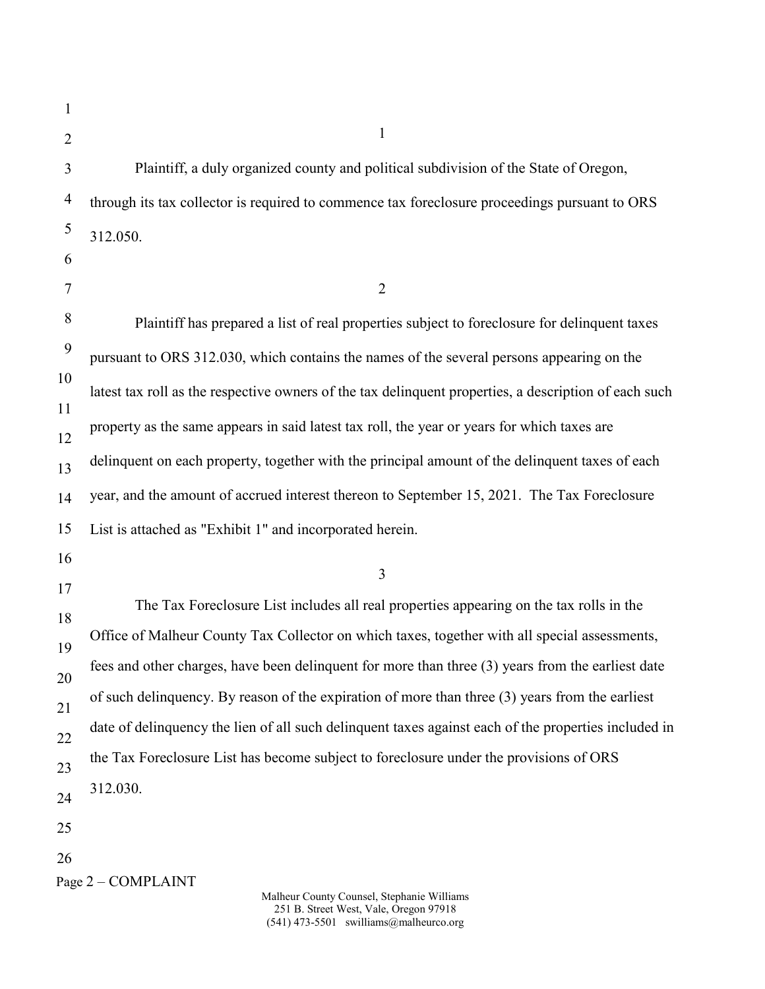| 1              |                                                                                                       |
|----------------|-------------------------------------------------------------------------------------------------------|
| $\overline{2}$ | 1                                                                                                     |
| 3              | Plaintiff, a duly organized county and political subdivision of the State of Oregon,                  |
| $\overline{4}$ | through its tax collector is required to commence tax foreclosure proceedings pursuant to ORS         |
| 5              | 312.050.                                                                                              |
| 6              |                                                                                                       |
| 7              | $\overline{2}$                                                                                        |
| 8              | Plaintiff has prepared a list of real properties subject to foreclosure for delinquent taxes          |
| 9              | pursuant to ORS 312.030, which contains the names of the several persons appearing on the             |
| 10             | latest tax roll as the respective owners of the tax delinquent properties, a description of each such |
| 11<br>12       | property as the same appears in said latest tax roll, the year or years for which taxes are           |
| 13             | delinquent on each property, together with the principal amount of the delinquent taxes of each       |
| 14             | year, and the amount of accrued interest thereon to September 15, 2021. The Tax Foreclosure           |
| 15             | List is attached as "Exhibit 1" and incorporated herein.                                              |
| 16             | 3                                                                                                     |
| 17             | The Tax Foreclosure List includes all real properties appearing on the tax rolls in the               |
| 18             |                                                                                                       |
| 19             | Office of Malheur County Tax Collector on which taxes, together with all special assessments,         |
| 20             | fees and other charges, have been delinquent for more than three (3) years from the earliest date     |
| 21             | of such delinquency. By reason of the expiration of more than three (3) years from the earliest       |
| 22             | date of delinquency the lien of all such delinquent taxes against each of the properties included in  |
| 23             | the Tax Foreclosure List has become subject to foreclosure under the provisions of ORS                |
| 24             | 312.030.                                                                                              |
| 25             |                                                                                                       |
| 26             |                                                                                                       |
|                | Page 2 - COMPLAINT<br>Molbour County Councel, Stophenic Williams                                      |

Malheur County Counsel, Stephanie Williams 251 B. Street West, Vale, Oregon 97918 (541) 473-5501 swilliams@malheurco.org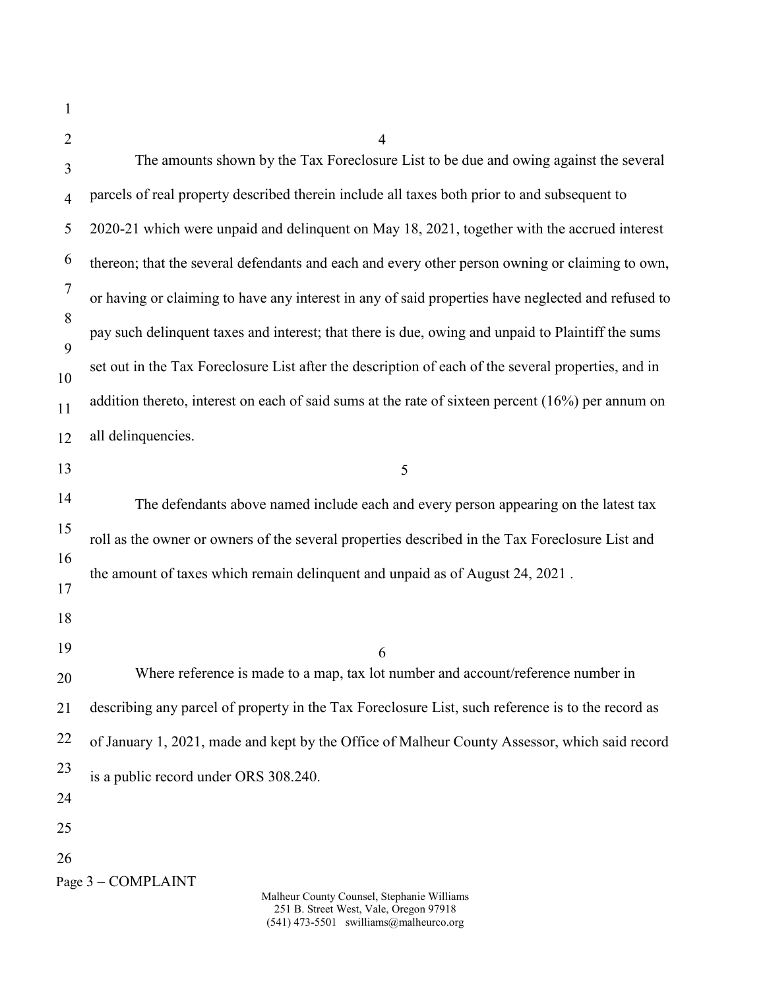| $\mathbf{1}$   |                                                                                                     |
|----------------|-----------------------------------------------------------------------------------------------------|
| 2              | $\overline{4}$                                                                                      |
| 3              | The amounts shown by the Tax Foreclosure List to be due and owing against the several               |
| $\overline{4}$ | parcels of real property described therein include all taxes both prior to and subsequent to        |
| 5              | 2020-21 which were unpaid and delinquent on May 18, 2021, together with the accrued interest        |
| 6              | thereon; that the several defendants and each and every other person owning or claiming to own,     |
| $\tau$         | or having or claiming to have any interest in any of said properties have neglected and refused to  |
| 8              | pay such delinquent taxes and interest; that there is due, owing and unpaid to Plaintiff the sums   |
| 9<br>10        | set out in the Tax Foreclosure List after the description of each of the several properties, and in |
| 11             | addition thereto, interest on each of said sums at the rate of sixteen percent $(16%)$ per annum on |
| 12             | all delinquencies.                                                                                  |
| 13             | 5                                                                                                   |
| 14             | The defendants above named include each and every person appearing on the latest tax                |
| 15             | roll as the owner or owners of the several properties described in the Tax Foreclosure List and     |
| 16             | the amount of taxes which remain delinquent and unpaid as of August 24, 2021.                       |
| 17             |                                                                                                     |
| 18             |                                                                                                     |
| 19             | 6                                                                                                   |
| 20             | Where reference is made to a map, tax lot number and account/reference number in                    |
| 21             | describing any parcel of property in the Tax Foreclosure List, such reference is to the record as   |
| 22             | of January 1, 2021, made and kept by the Office of Malheur County Assessor, which said record       |
| 23             | is a public record under ORS 308.240.                                                               |
| 24             |                                                                                                     |
| 25             |                                                                                                     |
| 26             |                                                                                                     |
|                | Page 3 – COMPLAINT<br>Malheur County Counsel, Stephanie Williams                                    |

251 B. Street West, Vale, Oregon 97918 (541) 473-5501 swilliams@malheurco.org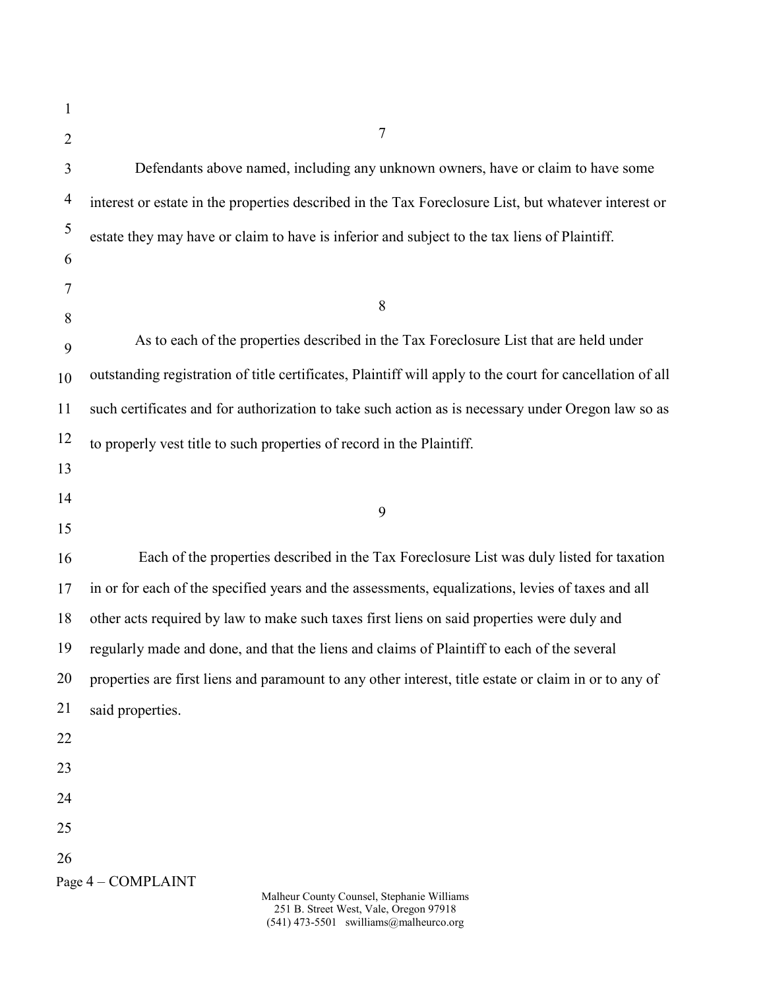| 1              |                                                                                                           |
|----------------|-----------------------------------------------------------------------------------------------------------|
| $\overline{2}$ | 7                                                                                                         |
| 3              | Defendants above named, including any unknown owners, have or claim to have some                          |
| $\overline{4}$ | interest or estate in the properties described in the Tax Foreclosure List, but whatever interest or      |
| $\mathfrak s$  | estate they may have or claim to have is inferior and subject to the tax liens of Plaintiff.              |
| 6              |                                                                                                           |
| 7              | 8                                                                                                         |
| 8              | As to each of the properties described in the Tax Foreclosure List that are held under                    |
| 9              |                                                                                                           |
| 10             | outstanding registration of title certificates, Plaintiff will apply to the court for cancellation of all |
| 11             | such certificates and for authorization to take such action as is necessary under Oregon law so as        |
| 12             | to properly vest title to such properties of record in the Plaintiff.                                     |
| 13             |                                                                                                           |
| 14             | 9                                                                                                         |
| 15             |                                                                                                           |
| 16             | Each of the properties described in the Tax Foreclosure List was duly listed for taxation                 |
| 17             | in or for each of the specified years and the assessments, equalizations, levies of taxes and all         |
| 18             | other acts required by law to make such taxes first liens on said properties were duly and                |
| 19             | regularly made and done, and that the liens and claims of Plaintiff to each of the several                |
| 20             | properties are first liens and paramount to any other interest, title estate or claim in or to any of     |
| 21             | said properties.                                                                                          |
| 22             |                                                                                                           |
| 23             |                                                                                                           |
| 24             |                                                                                                           |
| 25             |                                                                                                           |
| 26             |                                                                                                           |
|                | Page 4 - COMPLAINT<br>Malheur County Counsel, Stephanie Williams                                          |

251 B. Street West, Vale, Oregon 97918 (541) 473-5501 swilliams@malheurco.org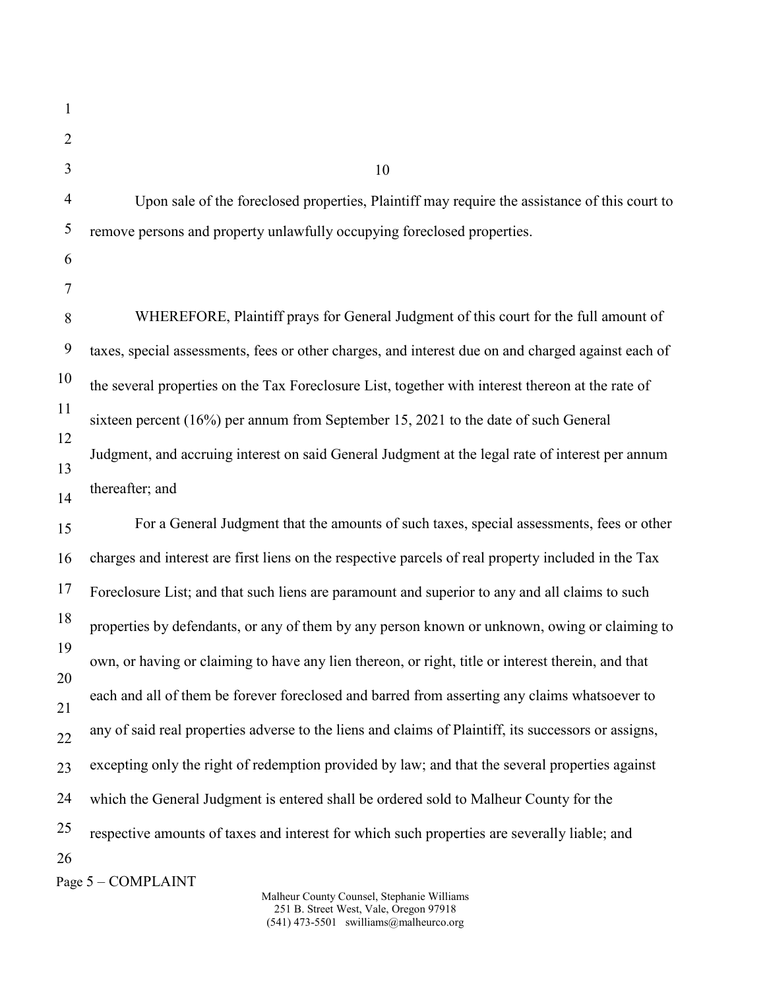| 1              |                                                                                                      |
|----------------|------------------------------------------------------------------------------------------------------|
| $\overline{2}$ |                                                                                                      |
| 3              | 10                                                                                                   |
| $\overline{4}$ | Upon sale of the foreclosed properties, Plaintiff may require the assistance of this court to        |
| 5              | remove persons and property unlawfully occupying foreclosed properties.                              |
| 6              |                                                                                                      |
| 7              |                                                                                                      |
| 8              | WHEREFORE, Plaintiff prays for General Judgment of this court for the full amount of                 |
| 9              | taxes, special assessments, fees or other charges, and interest due on and charged against each of   |
| 10             | the several properties on the Tax Foreclosure List, together with interest thereon at the rate of    |
| 11             | sixteen percent $(16\%)$ per annum from September 15, 2021 to the date of such General               |
| 12<br>13       | Judgment, and accruing interest on said General Judgment at the legal rate of interest per annum     |
| 14             | thereafter; and                                                                                      |
| 15             | For a General Judgment that the amounts of such taxes, special assessments, fees or other            |
| 16             | charges and interest are first liens on the respective parcels of real property included in the Tax  |
| 17             | Foreclosure List; and that such liens are paramount and superior to any and all claims to such       |
| 18             | properties by defendants, or any of them by any person known or unknown, owing or claiming to        |
| 19             | own, or having or claiming to have any lien thereon, or right, title or interest therein, and that   |
| 20<br>21       | each and all of them be forever foreclosed and barred from asserting any claims whatsoever to        |
| 22             | any of said real properties adverse to the liens and claims of Plaintiff, its successors or assigns, |
| 23             | excepting only the right of redemption provided by law; and that the several properties against      |
| 24             | which the General Judgment is entered shall be ordered sold to Malheur County for the                |
| 25             | respective amounts of taxes and interest for which such properties are severally liable; and         |
| 26             | Page 5 - COMPLAINT                                                                                   |
|                |                                                                                                      |

Malheur County Counsel, Stephanie Williams 251 B. Street West, Vale, Oregon 97918 (541) 473-5501 swilliams@malheurco.org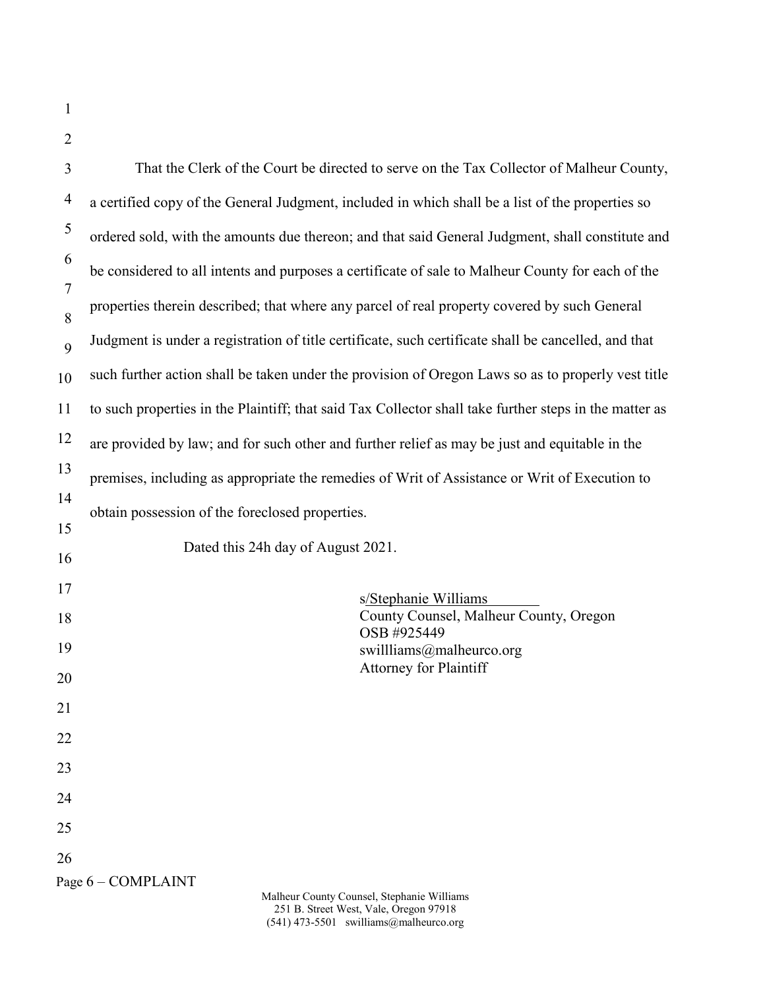|  | ш |  |
|--|---|--|
|  |   |  |

| $\overline{2}$ |                                                                                                        |  |  |  |  |  |  |
|----------------|--------------------------------------------------------------------------------------------------------|--|--|--|--|--|--|
| 3              | That the Clerk of the Court be directed to serve on the Tax Collector of Malheur County,               |  |  |  |  |  |  |
| 4              | a certified copy of the General Judgment, included in which shall be a list of the properties so       |  |  |  |  |  |  |
| 5              | ordered sold, with the amounts due thereon; and that said General Judgment, shall constitute and       |  |  |  |  |  |  |
| 6              | be considered to all intents and purposes a certificate of sale to Malheur County for each of the      |  |  |  |  |  |  |
| 7              | properties therein described; that where any parcel of real property covered by such General           |  |  |  |  |  |  |
| 8<br>9         | Judgment is under a registration of title certificate, such certificate shall be cancelled, and that   |  |  |  |  |  |  |
| 10             | such further action shall be taken under the provision of Oregon Laws so as to properly vest title     |  |  |  |  |  |  |
| 11             | to such properties in the Plaintiff; that said Tax Collector shall take further steps in the matter as |  |  |  |  |  |  |
| 12             | are provided by law; and for such other and further relief as may be just and equitable in the         |  |  |  |  |  |  |
| 13             | premises, including as appropriate the remedies of Writ of Assistance or Writ of Execution to          |  |  |  |  |  |  |
| 14             | obtain possession of the foreclosed properties.                                                        |  |  |  |  |  |  |
| 15             | Dated this 24h day of August 2021.                                                                     |  |  |  |  |  |  |
| 16             |                                                                                                        |  |  |  |  |  |  |
| 17             | s/Stephanie Williams<br>County Counsel, Malheur County, Oregon                                         |  |  |  |  |  |  |
| 18             | OSB #925449                                                                                            |  |  |  |  |  |  |
| 19<br>20       | swillliams@malheurco.org<br><b>Attorney for Plaintiff</b>                                              |  |  |  |  |  |  |
| 21             |                                                                                                        |  |  |  |  |  |  |
| 22             |                                                                                                        |  |  |  |  |  |  |
| 23             |                                                                                                        |  |  |  |  |  |  |
| 24             |                                                                                                        |  |  |  |  |  |  |
| 25             |                                                                                                        |  |  |  |  |  |  |
| 26             |                                                                                                        |  |  |  |  |  |  |
|                | Page 6 - COMPLAINT                                                                                     |  |  |  |  |  |  |

Malheur County Counsel, Stephanie Williams 251 B. Street West, Vale, Oregon 97918 (541) 473-5501 swilliams@malheurco.org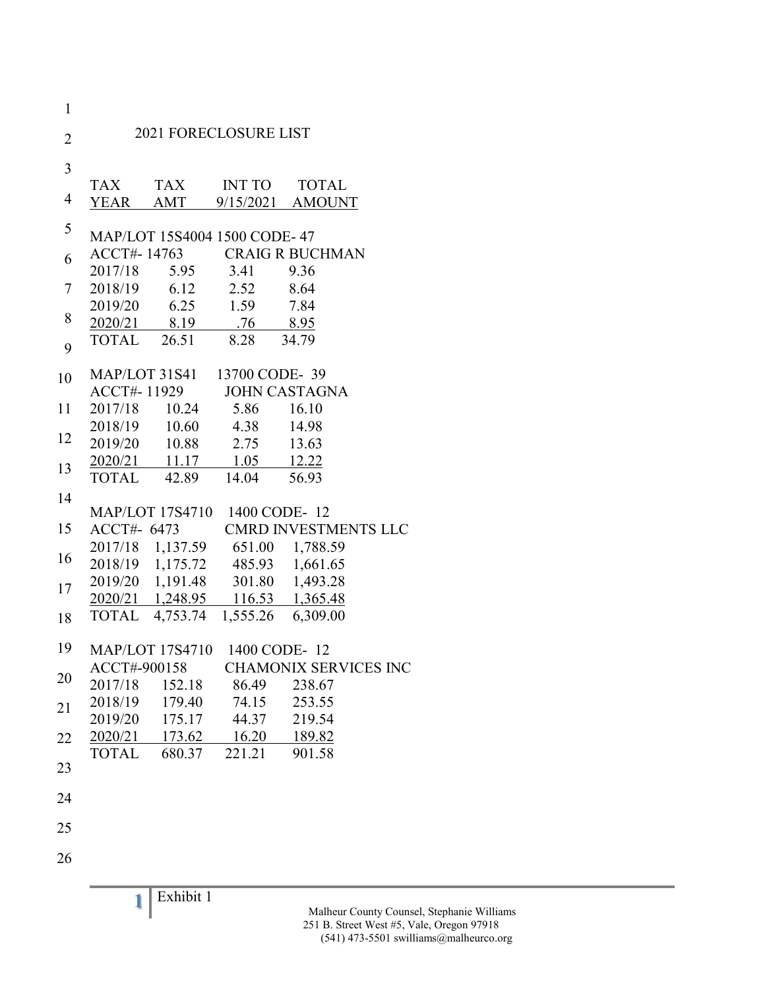| $\mathbf{1}$   |              |               |                                                                      |                              |
|----------------|--------------|---------------|----------------------------------------------------------------------|------------------------------|
| $\overline{2}$ |              |               | <b>2021 FORECLOSURE LIST</b>                                         |                              |
| 3              |              |               |                                                                      |                              |
|                | TAX          |               | TAX INT TO                                                           | <b>TOTAL</b>                 |
| 4              |              |               |                                                                      | YEAR AMT 9/15/2021 AMOUNT    |
| 5              |              |               | MAP/LOT 15S4004 1500 CODE-47                                         |                              |
| 6              |              |               |                                                                      | ACCT#-14763 CRAIG R BUCHMAN  |
|                | 2017/18      |               | 5.95 3.41 9.36                                                       |                              |
| 7              | 2018/19      | 6.12          | 2.52                                                                 | 8.64                         |
|                |              |               | 2019/20  6.25  1.59  7.84                                            |                              |
| 8              |              |               | 2020/21 8.19 .76 8.95                                                |                              |
| 9              |              | TOTAL 26.51   | 8.28 34.79                                                           |                              |
| 10             |              |               | MAP/LOT 31S41 13700 CODE-39                                          |                              |
|                |              | ACCT#-11929   |                                                                      | <b>JOHN CASTAGNA</b>         |
| 11             |              | 2017/18 10.24 | 5.86 16.10                                                           |                              |
|                |              |               | 2018/19 10.60 4.38 14.98                                             |                              |
| 12             |              |               | 2019/20 10.88 2.75 13.63                                             |                              |
| 13             |              |               | 2020/21 11.17 1.05 12.22                                             |                              |
|                |              | TOTAL 42.89   | 14.04                                                                | 56.93                        |
| 14             |              |               |                                                                      |                              |
|                |              |               | MAP/LOT 17S4710 1400 CODE-12                                         |                              |
| 15             |              | ACCT#- 6473   |                                                                      | <b>CMRD INVESTMENTS LLC</b>  |
| 16             |              |               | 2017/18 1,137.59 651.00 1,788.59                                     |                              |
|                |              |               | 2018/19 1,175.72 485.93 1,661.65<br>2019/20 1,191.48 301.80 1,493.28 |                              |
| 17             |              |               |                                                                      |                              |
|                |              |               | 2020/21 1,248.95 116.53 1,365.48                                     |                              |
| 18             |              |               | TOTAL 4,753.74 1,555.26 6,309.00                                     |                              |
| 19             |              |               | MAP/LOT 17S4710 1400 CODE-12                                         |                              |
|                | ACCT#-900158 |               |                                                                      | <b>CHAMONIX SERVICES INC</b> |
| 20             | 2017/18      | 152.18        | 86.49                                                                | 238.67                       |
| 21             | 2018/19      | 179.40        | 74.15                                                                | 253.55                       |
|                | 2019/20      | 175.17        | 44.37                                                                | 219.54                       |
| 22             | 2020/21      | 173.62        | 16.20                                                                | 189.82                       |
|                | <b>TOTAL</b> | 680.37        | 221.21                                                               | 901.58                       |
| 23             |              |               |                                                                      |                              |
| 24             |              |               |                                                                      |                              |
|                |              |               |                                                                      |                              |
| 25             |              |               |                                                                      |                              |
| 26             |              |               |                                                                      |                              |
|                |              |               |                                                                      |                              |
|                | 1            | Exhibit 1     |                                                                      |                              |
|                |              |               |                                                                      | Malheur County Couns         |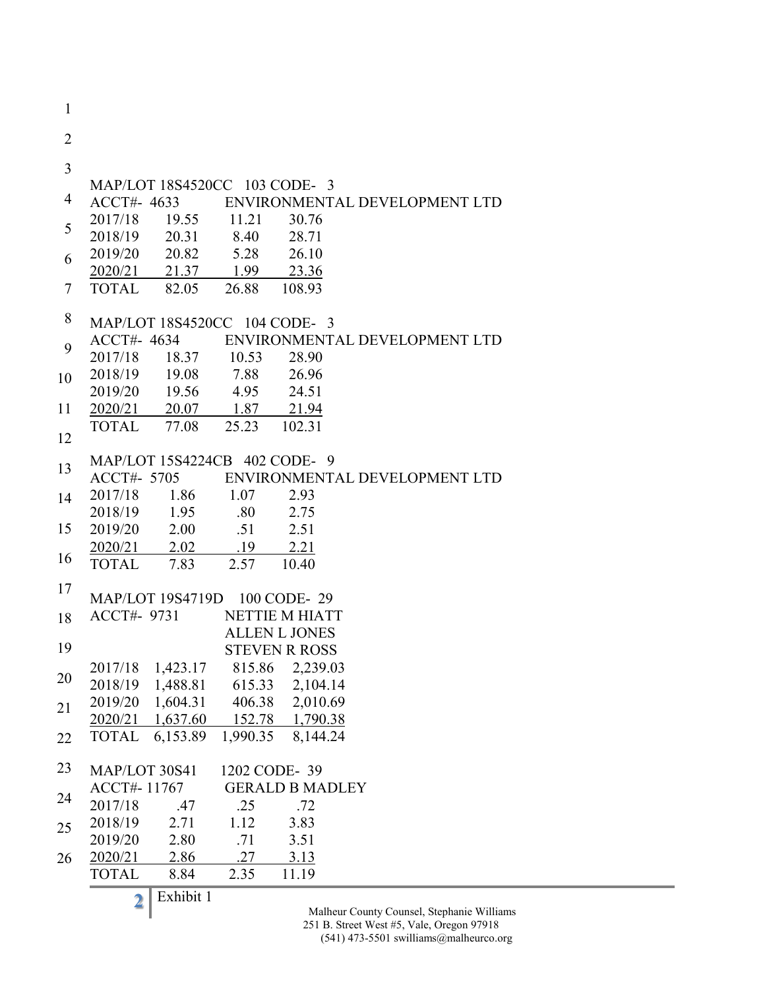1 2 3 4 5 6 7 8 9 10 11 12 13 14 15 16 17 18 19 20 21 22 23 24 25 26 MAP/LOT 18S4520CC 103 CODE- 3 ACCT#- 4633 ENVIRONMENTAL DEVELOPMENT LTD 2017/18 19.55 11.21 30.76 2018/19 20.31 8.40 28.71 2019/20 20.82 5.28 26.10 2020/21 21.37 1.99 23.36 TOTAL 82.05 26.88 108.93 MAP/LOT 18S4520CC 104 CODE- 3 ACCT#- 4634 ENVIRONMENTAL DEVELOPMENT LTD 2017/18 18.37 10.53 28.90 2018/19 19.08 7.88 26.96 2019/20 19.56 4.95 24.51 2020/21 20.07 1.87 21.94 TOTAL 77.08 25.23 102.31 MAP/LOT 15S4224CB 402 CODE- 9 ACCT#- 5705 ENVIRONMENTAL DEVELOPMENT LTD 2017/18 1.86 1.07 2.93 2018/19 1.95 .80 2.75 2019/20 2.00 .51 2.51 2020/21 2.02 .19 2.21 TOTAL 7.83 2.57 10.40 MAP/LOT 19S4719D 100 CODE- 29 ACCT#- 9731 NETTIE M HIATT ALLEN L JONES STEVEN R ROSS 2017/18 1,423.17 815.86 2,239.03 2018/19 1,488.81 615.33 2,104.14 2019/20 1,604.31 406.38 2,010.69 2020/21 1,637.60 152.78 1,790.38 TOTAL 6,153.89 1,990.35 8,144.24 MAP/LOT 30S41 1202 CODE- 39 ACCT#- 11767 GERALD B MADLEY 2017/18 .47 .25 .72 2018/19 2.71 1.12 3.83 2019/20 2.80 .71 3.51 2020/21 2.86 .27 3.13 TOTAL 8.84 2.35 11.19

**2** Exhibit 1

Malheur County Counsel, Stephanie Williams 251 B. Street West #5, Vale, Oregon 97918

 $(541)$  473-5501 swilliams@malheurco.org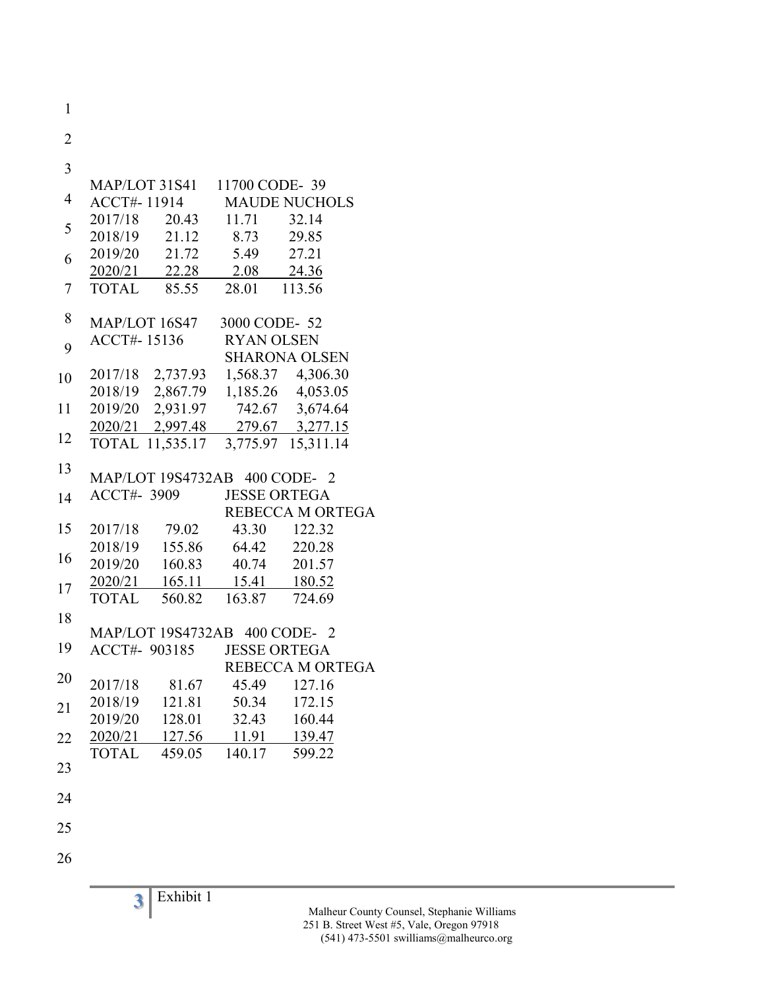| 1              |              |                 |                                    |                           |
|----------------|--------------|-----------------|------------------------------------|---------------------------|
| $\overline{2}$ |              |                 |                                    |                           |
| 3              |              |                 |                                    |                           |
|                |              |                 | MAP/LOT 31S41 11700 CODE-39        |                           |
| 4              |              |                 |                                    | ACCT#-11914 MAUDE NUCHOLS |
| 5              |              |                 | 2017/18 20.43 11.71                | 32.14                     |
|                |              | 2018/19 21.12   | 8.73                               | 29.85                     |
| 6              |              | 2019/20 21.72   | 5.49 27.21                         |                           |
|                |              |                 | 2020/21 22.28 2.08 24.36           |                           |
| 7              |              |                 | TOTAL 85.55 28.01 113.56           |                           |
| 8              |              | MAP/LOT 16S47   | 3000 CODE-52                       |                           |
|                |              | ACCT#-15136     | <b>RYAN OLSEN</b>                  |                           |
| 9              |              |                 |                                    | <b>SHARONA OLSEN</b>      |
| 10             |              |                 | 2017/18 2,737.93 1,568.37 4,306.30 |                           |
|                |              |                 | 2018/19 2,867.79 1,185.26 4,053.05 |                           |
| 11             |              |                 | 2019/20 2,931.97 742.67 3,674.64   |                           |
|                |              |                 | 2020/21 2,997.48 279.67 3,277.15   |                           |
| 12             |              | TOTAL 11,535.17 |                                    | 3,775.97 15,311.14        |
| 13             |              |                 | MAP/LOT 19S4732AB 400 CODE- 2      |                           |
| 14             |              | ACCT#- 3909     | <b>JESSE ORTEGA</b>                |                           |
|                |              |                 |                                    | REBECCA M ORTEGA          |
| 15             | 2017/18      | 79.02           |                                    | 43.30 122.32              |
|                | 2018/19      |                 | 155.86 64.42 220.28                |                           |
| 16             | 2019/20      |                 | 160.83 40.74 201.57                |                           |
| 17             |              |                 | 2020/21 165.11 15.41 180.52        |                           |
|                | <b>TOTAL</b> | 560.82          | 163.87 724.69                      |                           |
| 18             |              |                 |                                    |                           |
|                |              |                 | MAP/LOT 19S4732AB 400 CODE- 2      |                           |
| 19             |              |                 | ACCT#- 903185 JESSE ORTEGA         |                           |
| 20             |              |                 |                                    | REBECCA M ORTEGA          |
|                | 2017/18      | 81.67           | 45.49                              | 127.16                    |
| 21             | 2018/19      | 121.81          | 50.34                              | 172.15                    |
|                | 2019/20      | 128.01          | 32.43                              | 160.44                    |
| 22             | 2020/21      | 127.56          | 11.91                              | 139.47                    |
| 23             | <b>TOTAL</b> | 459.05          | 140.17                             | 599.22                    |
|                |              |                 |                                    |                           |
| 24             |              |                 |                                    |                           |
| 25             |              |                 |                                    |                           |
| 26             |              |                 |                                    |                           |
|                |              |                 |                                    |                           |

**3** Exhibit 1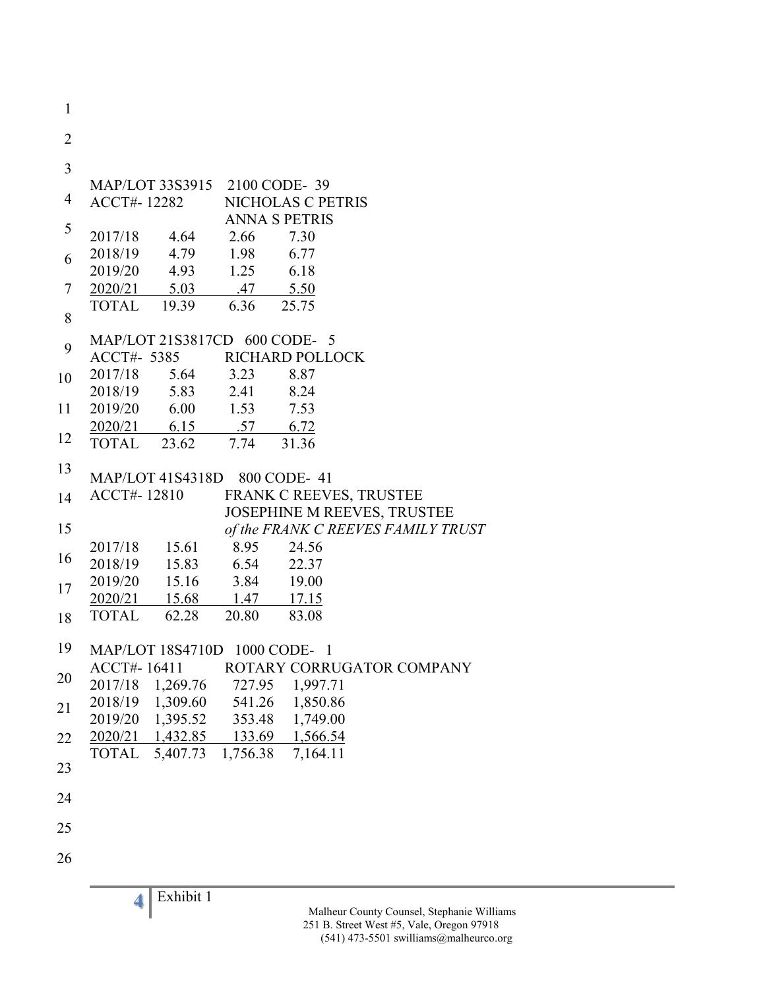**4** Exhibit 1 1 2 3 4 5 6 7 8 9 10 11 12 13 14 15 16 17 18 19 20 21 22 23 24 25 26 MAP/LOT 33S3915 2100 CODE- 39 ACCT#- 12282 NICHOLAS C PETRIS ANNA S PETRIS 2017/18 4.64 2.66 7.30 2018/19 4.79 1.98 6.77 2019/20 4.93 1.25 6.18 2020/21 5.03 .47 5.50 TOTAL 19.39 6.36 25.75 MAP/LOT 21S3817CD 600 CODE- 5 ACCT#- 5385 RICHARD POLLOCK 2017/18 5.64 3.23 8.87 2018/19 5.83 2.41 8.24 2019/20 6.00 1.53 7.53 2020/21 6.15 .57 6.72 TOTAL 23.62 7.74 31.36 MAP/LOT 41S4318D 800 CODE- 41 ACCT#- 12810 FRANK C REEVES, TRUSTEE JOSEPHINE M REEVES, TRUSTEE *of the FRANK C REEVES FAMILY TRUST* 2017/18 15.61 8.95 24.56 2018/19 15.83 6.54 22.37 2019/20 15.16 3.84 19.00 2020/21 15.68 1.47 17.15 TOTAL 62.28 20.80 83.08 MAP/LOT 18S4710D 1000 CODE- 1 ACCT#- 16411 ROTARY CORRUGATOR COMPANY 2017/18 1,269.76 727.95 1,997.71 2018/19 1,309.60 541.26 1,850.86 2019/20 1,395.52 353.48 1,749.00 2020/21 1,432.85 133.69 1,566.54 TOTAL 5,407.73 1,756.38 7,164.11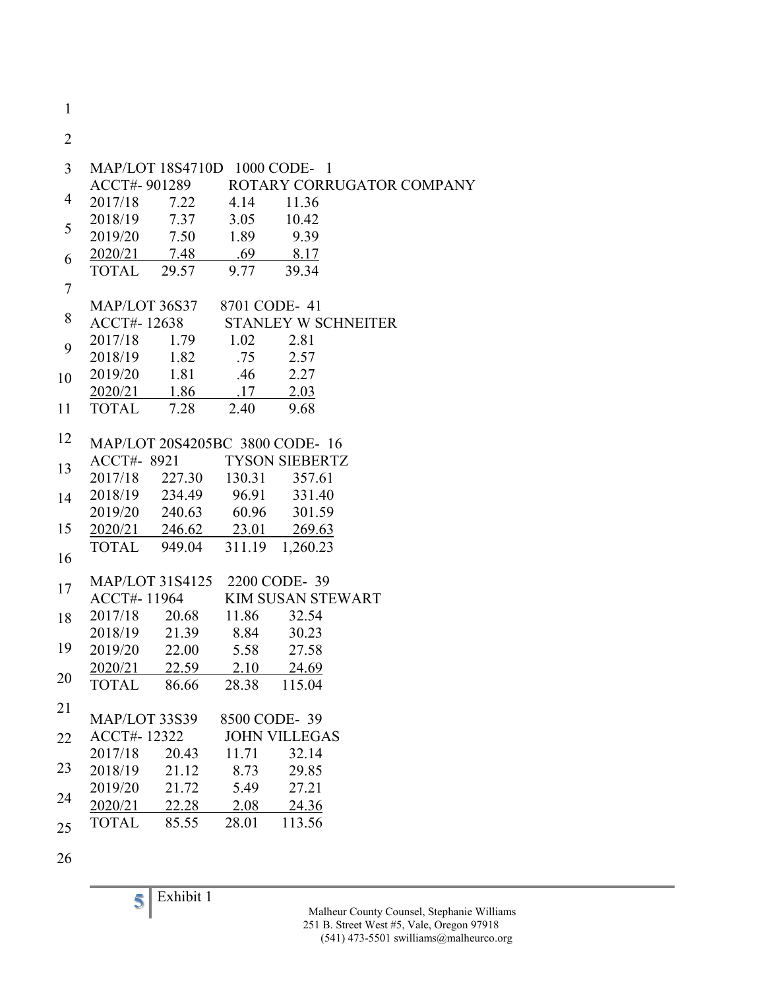1

2

| $\overline{3}$   |               | MAP/LOT 18S4710D 1000 CODE-1 |              |                                 |                                        |
|------------------|---------------|------------------------------|--------------|---------------------------------|----------------------------------------|
|                  |               |                              |              |                                 | ACCT#-901289 ROTARY CORRUGATOR COMPANY |
| 4                | 2017/18       | 7.22 4.14                    |              | 11.36                           |                                        |
| 5                |               | 2018/19 7.37 3.05            |              | 10.42                           |                                        |
|                  |               | 2019/20 7.50 1.89            |              | 9.39                            |                                        |
| 6                |               | 2020/21 7.48                 | .69          | 8.17                            |                                        |
|                  | TOTAL 29.57   |                              | 9.77         | 39.34                           |                                        |
| $\boldsymbol{7}$ |               |                              |              |                                 |                                        |
|                  |               | MAP/LOT 36S37 8701 CODE- 41  |              |                                 |                                        |
| 8                |               |                              |              | ACCT#-12638 STANLEY W SCHNEITER |                                        |
| 9                |               | 2017/18 1.79 1.02            |              | 2.81                            |                                        |
|                  |               | 2018/19 1.82                 | .75          | 2.57                            |                                        |
| 10               |               | 2019/20 1.81                 | .46          | 2.27                            |                                        |
|                  |               | 2020/21 1.86 .17 2.03        |              |                                 |                                        |
| 11               |               | TOTAL 7.28                   | 2.40         | 9.68                            |                                        |
|                  |               |                              |              |                                 |                                        |
| 12               |               |                              |              | MAP/LOT 20S4205BC 3800 CODE-16  |                                        |
| 13               |               |                              |              | ACCT#- 8921 TYSON SIEBERTZ      |                                        |
|                  |               | 2017/18 227.30 130.31 357.61 |              |                                 |                                        |
| 14               |               | 2018/19 234.49 96.91 331.40  |              |                                 |                                        |
|                  |               | 2019/20 240.63 60.96 301.59  |              |                                 |                                        |
| 15               |               | 2020/21 246.62 23.01 269.63  |              |                                 |                                        |
|                  |               | TOTAL 949.04                 |              | 311.19 1,260.23                 |                                        |
| 16               |               |                              |              |                                 |                                        |
| 17               |               | MAP/LOT 31S4125 2200 CODE-39 |              |                                 |                                        |
|                  |               | ACCT#-11964                  |              | <b>KIM SUSAN STEWART</b>        |                                        |
| 18               | 2017/18       | 20.68                        | 11.86        | 32.54                           |                                        |
|                  |               | 2018/19 21.39                | 8.84         | 30.23                           |                                        |
| 19               |               | 2019/20 22.00 5.58 27.58     |              |                                 |                                        |
|                  |               | 2020/21 22.59 2.10 24.69     |              |                                 |                                        |
| 20               | <b>TOTAL</b>  | 86.66                        | 28.38 115.04 |                                 |                                        |
| 21               |               |                              |              |                                 |                                        |
|                  | MAP/LOT 33S39 |                              | 8500 CODE-39 |                                 |                                        |
| 22               | ACCT#-12322   |                              |              | <b>JOHN VILLEGAS</b>            |                                        |
|                  | 2017/18       | 20.43                        | 11.71        | 32.14                           |                                        |
| 23               | 2018/19       | 21.12                        | 8.73         | 29.85                           |                                        |
|                  | 2019/20       | 21.72                        | 5.49         | 27.21                           |                                        |
| 24               | 2020/21       | 22.28                        | 2.08         | 24.36                           |                                        |
| 25               | <b>TOTAL</b>  | 85.55                        | 28.01        | 113.56                          |                                        |
|                  |               |                              |              |                                 |                                        |

26